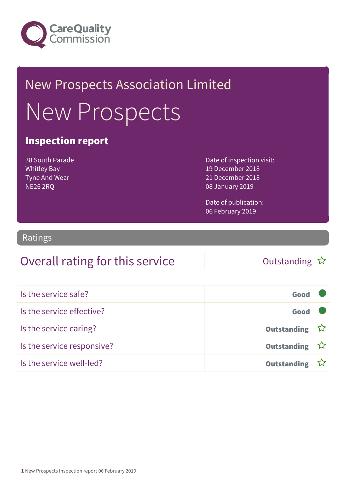

# New Prospects Association Limited New Prospects

#### Inspection report

38 South Parade Whitley Bay Tyne And Wear NE26 2RQ

Date of inspection visit: 19 December 2018 21 December 2018 08 January 2019

Date of publication: 06 February 2019

#### Ratings

#### Overall rating for this service and the Cutstanding  $\hat{x}$

| Is the service safe?       | Good               |  |
|----------------------------|--------------------|--|
| Is the service effective?  | Good               |  |
| Is the service caring?     | Outstanding ☆      |  |
| Is the service responsive? | Outstanding ☆      |  |
| Is the service well-led?   | <b>Outstanding</b> |  |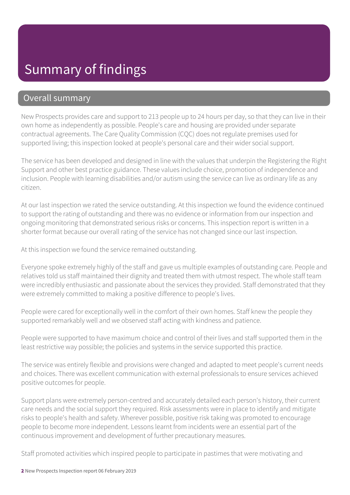#### Summary of findings

#### Overall summary

New Prospects provides care and support to 213 people up to 24 hours per day, so that they can live in their own home as independently as possible. People's care and housing are provided under separate contractual agreements. The Care Quality Commission (CQC) does not regulate premises used for supported living; this inspection looked at people's personal care and their wider social support.

The service has been developed and designed in line with the values that underpin the Registering the Right Support and other best practice guidance. These values include choice, promotion of independence and inclusion. People with learning disabilities and/or autism using the service can live as ordinary life as any citizen.

At our last inspection we rated the service outstanding. At this inspection we found the evidence continued to support the rating of outstanding and there was no evidence or information from our inspection and ongoing monitoring that demonstrated serious risks or concerns. This inspection report is written in a shorter format because our overall rating of the service has not changed since our last inspection.

At this inspection we found the service remained outstanding.

Everyone spoke extremely highly of the staff and gave us multiple examples of outstanding care. People and relatives told us staff maintained their dignity and treated them with utmost respect. The whole staff team were incredibly enthusiastic and passionate about the services they provided. Staff demonstrated that they were extremely committed to making a positive difference to people's lives.

People were cared for exceptionally well in the comfort of their own homes. Staff knew the people they supported remarkably well and we observed staff acting with kindness and patience.

People were supported to have maximum choice and control of their lives and staff supported them in the least restrictive way possible; the policies and systems in the service supported this practice.

The service was entirely flexible and provisions were changed and adapted to meet people's current needs and choices. There was excellent communication with external professionals to ensure services achieved positive outcomes for people.

Support plans were extremely person-centred and accurately detailed each person's history, their current care needs and the social support they required. Risk assessments were in place to identify and mitigate risks to people's health and safety. Wherever possible, positive risk taking was promoted to encourage people to become more independent. Lessons learnt from incidents were an essential part of the continuous improvement and development of further precautionary measures.

Staff promoted activities which inspired people to participate in pastimes that were motivating and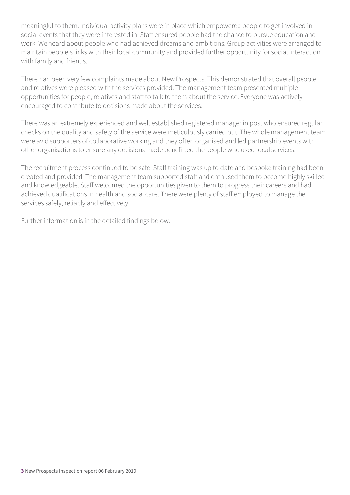meaningful to them. Individual activity plans were in place which empowered people to get involved in social events that they were interested in. Staff ensured people had the chance to pursue education and work. We heard about people who had achieved dreams and ambitions. Group activities were arranged to maintain people's links with their local community and provided further opportunity for social interaction with family and friends.

There had been very few complaints made about New Prospects. This demonstrated that overall people and relatives were pleased with the services provided. The management team presented multiple opportunities for people, relatives and staff to talk to them about the service. Everyone was actively encouraged to contribute to decisions made about the services.

There was an extremely experienced and well established registered manager in post who ensured regular checks on the quality and safety of the service were meticulously carried out. The whole management team were avid supporters of collaborative working and they often organised and led partnership events with other organisations to ensure any decisions made benefitted the people who used local services.

The recruitment process continued to be safe. Staff training was up to date and bespoke training had been created and provided. The management team supported staff and enthused them to become highly skilled and knowledgeable. Staff welcomed the opportunities given to them to progress their careers and had achieved qualifications in health and social care. There were plenty of staff employed to manage the services safely, reliably and effectively.

Further information is in the detailed findings below.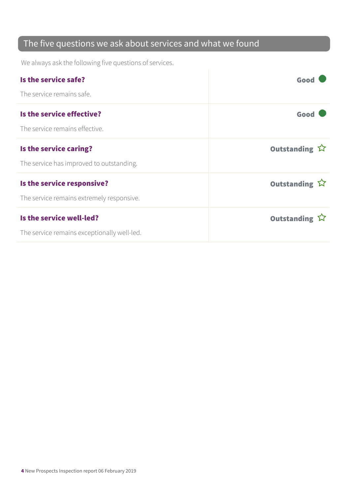#### The five questions we ask about services and what we found

We always ask the following five questions of services.

| Is the service safe?                        | Good          |
|---------------------------------------------|---------------|
| The service remains safe.                   |               |
| Is the service effective?                   | Good          |
| The service remains effective.              |               |
| Is the service caring?                      | Outstanding ☆ |
| The service has improved to outstanding.    |               |
| Is the service responsive?                  | Outstanding ☆ |
| The service remains extremely responsive.   |               |
| Is the service well-led?                    | Outstanding ☆ |
| The service remains exceptionally well-led. |               |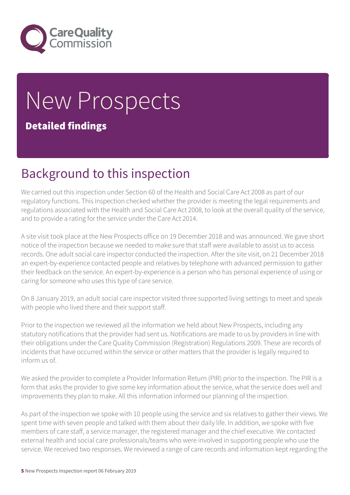

# New Prospects

#### Detailed findings

#### Background to this inspection

We carried out this inspection under Section 60 of the Health and Social Care Act 2008 as part of our regulatory functions. This inspection checked whether the provider is meeting the legal requirements and regulations associated with the Health and Social Care Act 2008, to look at the overall quality of the service, and to provide a rating for the service under the Care Act 2014.

A site visit took place at the New Prospects office on 19 December 2018 and was announced. We gave short notice of the inspection because we needed to make sure that staff were available to assist us to access records. One adult social care inspector conducted the inspection. After the site visit, on 21 December 2018 an expert-by-experience contacted people and relatives by telephone with advanced permission to gather their feedback on the service. An expert-by-experience is a person who has personal experience of using or caring for someone who uses this type of care service.

On 8 January 2019, an adult social care inspector visited three supported living settings to meet and speak with people who lived there and their support staff.

Prior to the inspection we reviewed all the information we held about New Prospects, including any statutory notifications that the provider had sent us. Notifications are made to us by providers in line with their obligations under the Care Quality Commission (Registration) Regulations 2009. These are records of incidents that have occurred within the service or other matters that the provider is legally required to inform us of.

We asked the provider to complete a Provider Information Return (PIR) prior to the inspection. The PIR is a form that asks the provider to give some key information about the service, what the service does well and improvements they plan to make. All this information informed our planning of the inspection.

As part of the inspection we spoke with 10 people using the service and six relatives to gather their views. We spent time with seven people and talked with them about their daily life. In addition, we spoke with five members of care staff, a service manager, the registered manager and the chief executive. We contacted external health and social care professionals/teams who were involved in supporting people who use the service. We received two responses. We reviewed a range of care records and information kept regarding the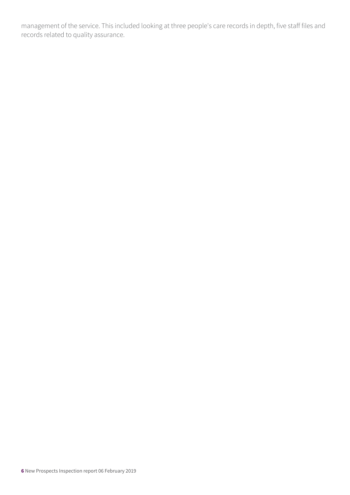management of the service. This included looking at three people's care records in depth, five staff files and records related to quality assurance.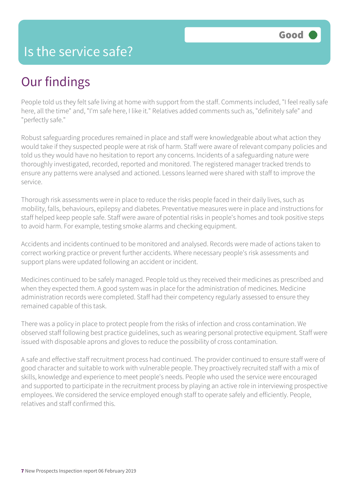#### Is the service safe?

# Our findings

People told us they felt safe living at home with support from the staff. Comments included, "I feel really safe here, all the time" and, "I'm safe here, I like it." Relatives added comments such as, "definitely safe" and "perfectly safe."

Robust safeguarding procedures remained in place and staff were knowledgeable about what action they would take if they suspected people were at risk of harm. Staff were aware of relevant company policies and told us they would have no hesitation to report any concerns. Incidents of a safeguarding nature were thoroughly investigated, recorded, reported and monitored. The registered manager tracked trends to ensure any patterns were analysed and actioned. Lessons learned were shared with staff to improve the service.

Thorough risk assessments were in place to reduce the risks people faced in their daily lives, such as mobility, falls, behaviours, epilepsy and diabetes. Preventative measures were in place and instructions for staff helped keep people safe. Staff were aware of potential risks in people's homes and took positive steps to avoid harm. For example, testing smoke alarms and checking equipment.

Accidents and incidents continued to be monitored and analysed. Records were made of actions taken to correct working practice or prevent further accidents. Where necessary people's risk assessments and support plans were updated following an accident or incident.

Medicines continued to be safely managed. People told us they received their medicines as prescribed and when they expected them. A good system was in place for the administration of medicines. Medicine administration records were completed. Staff had their competency regularly assessed to ensure they remained capable of this task.

There was a policy in place to protect people from the risks of infection and cross contamination. We observed staff following best practice guidelines, such as wearing personal protective equipment. Staff were issued with disposable aprons and gloves to reduce the possibility of cross contamination.

A safe and effective staff recruitment process had continued. The provider continued to ensure staff were of good character and suitable to work with vulnerable people. They proactively recruited staff with a mix of skills, knowledge and experience to meet people's needs. People who used the service were encouraged and supported to participate in the recruitment process by playing an active role in interviewing prospective employees. We considered the service employed enough staff to operate safely and efficiently. People, relatives and staff confirmed this.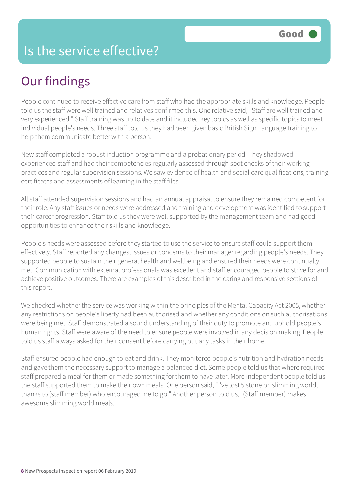#### Is the service effective?

# Our findings

People continued to receive effective care from staff who had the appropriate skills and knowledge. People told us the staff were well trained and relatives confirmed this. One relative said, "Staff are well trained and very experienced." Staff training was up to date and it included key topics as well as specific topics to meet individual people's needs. Three staff told us they had been given basic British Sign Language training to help them communicate better with a person.

New staff completed a robust induction programme and a probationary period. They shadowed experienced staff and had their competencies regularly assessed through spot checks of their working practices and regular supervision sessions. We saw evidence of health and social care qualifications, training certificates and assessments of learning in the staff files.

All staff attended supervision sessions and had an annual appraisal to ensure they remained competent for their role. Any staff issues or needs were addressed and training and development was identified to support their career progression. Staff told us they were well supported by the management team and had good opportunities to enhance their skills and knowledge.

People's needs were assessed before they started to use the service to ensure staff could support them effectively. Staff reported any changes, issues or concerns to their manager regarding people's needs. They supported people to sustain their general health and wellbeing and ensured their needs were continually met. Communication with external professionals was excellent and staff encouraged people to strive for and achieve positive outcomes. There are examples of this described in the caring and responsive sections of this report.

We checked whether the service was working within the principles of the Mental Capacity Act 2005, whether any restrictions on people's liberty had been authorised and whether any conditions on such authorisations were being met. Staff demonstrated a sound understanding of their duty to promote and uphold people's human rights. Staff were aware of the need to ensure people were involved in any decision making. People told us staff always asked for their consent before carrying out any tasks in their home.

Staff ensured people had enough to eat and drink. They monitored people's nutrition and hydration needs and gave them the necessary support to manage a balanced diet. Some people told us that where required staff prepared a meal for them or made something for them to have later. More independent people told us the staff supported them to make their own meals. One person said, "I've lost 5 stone on slimming world, thanks to (staff member) who encouraged me to go." Another person told us, "(Staff member) makes awesome slimming world meals."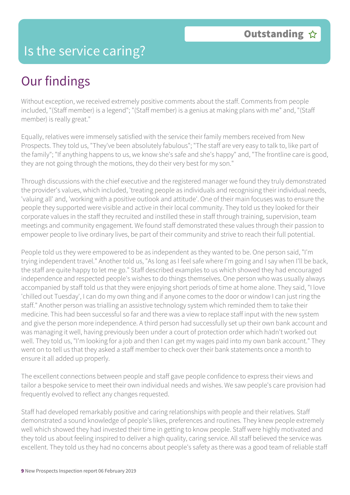#### Is the service caring?

# Our findings

Without exception, we received extremely positive comments about the staff. Comments from people included, "(Staff member) is a legend"; "(Staff member) is a genius at making plans with me" and, "(Staff member) is really great."

Equally, relatives were immensely satisfied with the service their family members received from New Prospects. They told us, "They've been absolutely fabulous"; "The staff are very easy to talk to, like part of the family"; "If anything happens to us, we know she's safe and she's happy" and, "The frontline care is good, they are not going through the motions, they do their very best for my son."

Through discussions with the chief executive and the registered manager we found they truly demonstrated the provider's values, which included, 'treating people as individuals and recognising their individual needs, 'valuing all' and, 'working with a positive outlook and attitude'. One of their main focuses was to ensure the people they supported were visible and active in their local community. They told us they looked for their corporate values in the staff they recruited and instilled these in staff through training, supervision, team meetings and community engagement. We found staff demonstrated these values through their passion to empower people to live ordinary lives, be part of their community and strive to reach their full potential.

People told us they were empowered to be as independent as they wanted to be. One person said, "I'm trying independent travel." Another told us, "As long as I feel safe where I'm going and I say when I'll be back, the staff are quite happy to let me go." Staff described examples to us which showed they had encouraged independence and respected people's wishes to do things themselves. One person who was usually always accompanied by staff told us that they were enjoying short periods of time at home alone. They said, "I love 'chilled out Tuesday', I can do my own thing and if anyone comes to the door or window I can just ring the staff." Another person was trialling an assistive technology system which reminded them to take their medicine. This had been successful so far and there was a view to replace staff input with the new system and give the person more independence. A third person had successfully set up their own bank account and was managing it well, having previously been under a court of protection order which hadn't worked out well. They told us, "I'm looking for a job and then I can get my wages paid into my own bank account." They went on to tell us that they asked a staff member to check over their bank statements once a month to ensure it all added up properly.

The excellent connections between people and staff gave people confidence to express their views and tailor a bespoke service to meet their own individual needs and wishes. We saw people's care provision had frequently evolved to reflect any changes requested.

Staff had developed remarkably positive and caring relationships with people and their relatives. Staff demonstrated a sound knowledge of people's likes, preferences and routines. They knew people extremely well which showed they had invested their time in getting to know people. Staff were highly motivated and they told us about feeling inspired to deliver a high quality, caring service. All staff believed the service was excellent. They told us they had no concerns about people's safety as there was a good team of reliable staff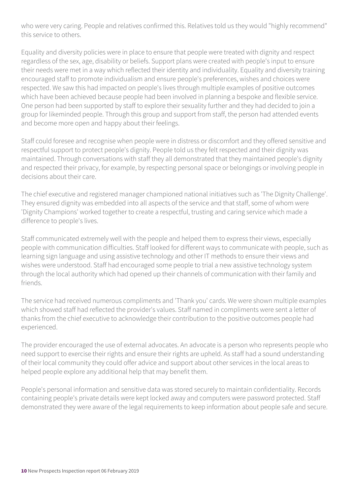who were very caring. People and relatives confirmed this. Relatives told us they would "highly recommend" this service to others.

Equality and diversity policies were in place to ensure that people were treated with dignity and respect regardless of the sex, age, disability or beliefs. Support plans were created with people's input to ensure their needs were met in a way which reflected their identity and individuality. Equality and diversity training encouraged staff to promote individualism and ensure people's preferences, wishes and choices were respected. We saw this had impacted on people's lives through multiple examples of positive outcomes which have been achieved because people had been involved in planning a bespoke and flexible service. One person had been supported by staff to explore their sexuality further and they had decided to join a group for likeminded people. Through this group and support from staff, the person had attended events and become more open and happy about their feelings.

Staff could foresee and recognise when people were in distress or discomfort and they offered sensitive and respectful support to protect people's dignity. People told us they felt respected and their dignity was maintained. Through conversations with staff they all demonstrated that they maintained people's dignity and respected their privacy, for example, by respecting personal space or belongings or involving people in decisions about their care.

The chief executive and registered manager championed national initiatives such as 'The Dignity Challenge'. They ensured dignity was embedded into all aspects of the service and that staff, some of whom were 'Dignity Champions' worked together to create a respectful, trusting and caring service which made a difference to people's lives.

Staff communicated extremely well with the people and helped them to express their views, especially people with communication difficulties. Staff looked for different ways to communicate with people, such as learning sign language and using assistive technology and other IT methods to ensure their views and wishes were understood. Staff had encouraged some people to trial a new assistive technology system through the local authority which had opened up their channels of communication with their family and friends.

The service had received numerous compliments and 'Thank you' cards. We were shown multiple examples which showed staff had reflected the provider's values. Staff named in compliments were sent a letter of thanks from the chief executive to acknowledge their contribution to the positive outcomes people had experienced.

The provider encouraged the use of external advocates. An advocate is a person who represents people who need support to exercise their rights and ensure their rights are upheld. As staff had a sound understanding of their local community they could offer advice and support about other services in the local areas to helped people explore any additional help that may benefit them.

People's personal information and sensitive data was stored securely to maintain confidentiality. Records containing people's private details were kept locked away and computers were password protected. Staff demonstrated they were aware of the legal requirements to keep information about people safe and secure.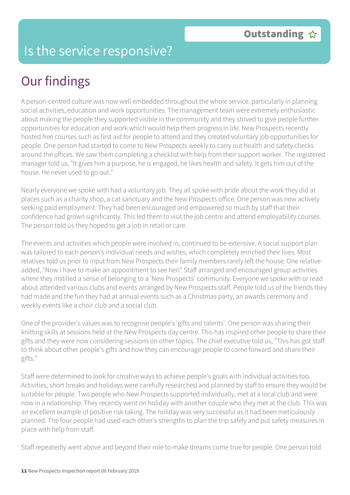#### Is the service responsive?

# Our findings

A person-centred culture was now well embedded throughout the whole service, particularly in planning social activities, education and work opportunities. The management team were extremely enthusiastic about making the people they supported visible in the community and they strived to give people further opportunities for education and work which would help them progress in life. New Prospects recently hosted free courses such as first aid for people to attend and they created voluntary job opportunities for people. One person had started to come to New Prospects weekly to carry out health and safety checks around the offices. We saw them completing a checklist with help from their support worker. The registered manager told us, "It gives him a purpose, he is engaged, he likes health and safety. It gets him out of the house. He never used to go out."

Nearly everyone we spoke with had a voluntary job. They all spoke with pride about the work they did at places such as a charity shop, a cat sanctuary and the New Prospects office. One person was now actively seeking paid employment. They had been encouraged and empowered so much by staff that their confidence had grown significantly. This led them to visit the job centre and attend employability courses. The person told us they hoped to get a job in retail or care.

The events and activities which people were involved in, continued to be extensive. A social support plan was tailored to each person's individual needs and wishes, which completely enriched their lives. Most relatives told us prior to input from New Prospects their family members rarely left the house. One relative added, "Now I have to make an appointment to see her!" Staff arranged and encouraged group activities where they instilled a sense of belonging to a 'New Prospects' community. Everyone we spoke with or read about attended various clubs and events arranged by New Prospects staff. People told us of the friends they had made and the fun they had at annual events such as a Christmas party, an awards ceremony and weekly events like a choir club and a social club.

One of the provider's values was to recognise people's 'gifts and talents'. One person was sharing their knitting skills at sessions held at the New Prospects day centre. This has inspired other people to share their gifts and they were now considering sessions on other topics. The chief executive told us, "This has got staff to think about other people's gifts and how they can encourage people to come forward and share their gifts."

Staff were determined to look for creative ways to achieve people's goals with individual activities too. Activities, short breaks and holidays were carefully researched and planned by staff to ensure they would be suitable for people. Two people who New Prospects supported individually, met at a local club and were now in a relationship. They recently went on holiday with another couple who they met at the club. This was an excellent example of positive risk taking. The holiday was very successful as it had been meticulously planned. The four people had used each other's strengths to plan the trip safely and put safety measures in place with help from staff.

Staff repeatedly went above and beyond their role to make dreams come true for people. One person told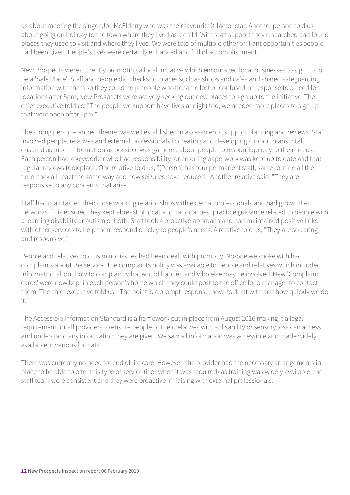us about meeting the singer Joe McElderry who was their favourite X-factor star. Another person told us about going on holiday to the town where they lived as a child. With staff support they researched and found places they used to visit and where they lived. We were told of multiple other brilliant opportunities people had been given. People's lives were certainly enhanced and full of accomplishment.

New Prospects were currently promoting a local initiative which encouraged local businesses to sign up to be a 'Safe Place'. Staff and people did checks on places such as shops and cafés and shared safeguarding information with them so they could help people who became lost or confused. In response to a need for locations after 5pm, New Prospects were actively seeking out new places to sign up to the initiative. The chief executive told us, "The people we support have lives at night too, we needed more places to sign up that were open after 5pm."

The strong person-centred theme was well established in assessments, support planning and reviews. Staff involved people, relatives and external professionals in creating and developing support plans. Staff ensured as much information as possible was gathered about people to respond quickly to their needs. Each person had a keyworker who had responsibility for ensuring paperwork was kept up to date and that regular reviews took place. One relative told us, "(Person) has four permanent staff, same routine all the time, they all react the same way and now seizures have reduced." Another relative said, "They are responsive to any concerns that arise."

Staff had maintained their close working relationships with external professionals and had grown their networks. This ensured they kept abreast of local and national best practice guidance related to people with a learning disability or autism or both. Staff took a proactive approach and had maintained positive links with other services to help them respond quickly to people's needs. A relative told us, "They are so caring and responsive."

People and relatives told us minor issues had been dealt with promptly. No-one we spoke with had complaints about the service. The complaints policy was available to people and relatives which included information about how to complain, what would happen and who else may be involved. New 'Complaint cards' were now kept in each person's home which they could post to the office for a manager to contact them. The chief executive told us, "The point is a prompt response, how its dealt with and how quickly we do it."

The Accessible Information Standard is a framework put in place from August 2016 making it a legal requirement for all providers to ensure people or their relatives with a disability or sensory loss can access and understand any information they are given. We saw all information was accessible and made widely available in various formats.

There was currently no need for end of life care. However, the provider had the necessary arrangements in place to be able to offer this type of service (if or when it was required) as training was widely available, the staff team were consistent and they were proactive in liaising with external professionals.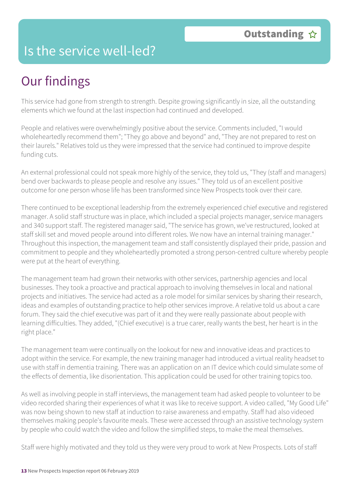#### Is the service well-led?

# Our findings

This service had gone from strength to strength. Despite growing significantly in size, all the outstanding elements which we found at the last inspection had continued and developed.

People and relatives were overwhelmingly positive about the service. Comments included, "I would wholeheartedly recommend them"; "They go above and beyond" and, "They are not prepared to rest on their laurels." Relatives told us they were impressed that the service had continued to improve despite funding cuts.

An external professional could not speak more highly of the service, they told us, "They (staff and managers) bend over backwards to please people and resolve any issues." They told us of an excellent positive outcome for one person whose life has been transformed since New Prospects took over their care.

There continued to be exceptional leadership from the extremely experienced chief executive and registered manager. A solid staff structure was in place, which included a special projects manager, service managers and 340 support staff. The registered manager said, "The service has grown, we've restructured, looked at staff skill set and moved people around into different roles. We now have an internal training manager." Throughout this inspection, the management team and staff consistently displayed their pride, passion and commitment to people and they wholeheartedly promoted a strong person-centred culture whereby people were put at the heart of everything.

The management team had grown their networks with other services, partnership agencies and local businesses. They took a proactive and practical approach to involving themselves in local and national projects and initiatives. The service had acted as a role model for similar services by sharing their research, ideas and examples of outstanding practice to help other services improve. A relative told us about a care forum. They said the chief executive was part of it and they were really passionate about people with learning difficulties. They added, "(Chief executive) is a true carer, really wants the best, her heart is in the right place."

The management team were continually on the lookout for new and innovative ideas and practices to adopt within the service. For example, the new training manager had introduced a virtual reality headset to use with staff in dementia training. There was an application on an IT device which could simulate some of the effects of dementia, like disorientation. This application could be used for other training topics too.

As well as involving people in staff interviews, the management team had asked people to volunteer to be video recorded sharing their experiences of what it was like to receive support. A video called, "My Good Life" was now being shown to new staff at induction to raise awareness and empathy. Staff had also videoed themselves making people's favourite meals. These were accessed through an assistive technology system by people who could watch the video and follow the simplified steps, to make the meal themselves.

Staff were highly motivated and they told us they were very proud to work at New Prospects. Lots of staff